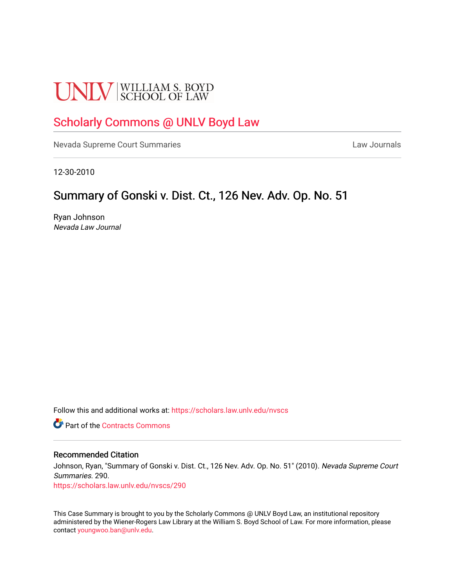# **UNLV** SCHOOL OF LAW

# [Scholarly Commons @ UNLV Boyd Law](https://scholars.law.unlv.edu/)

[Nevada Supreme Court Summaries](https://scholars.law.unlv.edu/nvscs) **Law Journals** Law Journals

12-30-2010

# Summary of Gonski v. Dist. Ct., 126 Nev. Adv. Op. No. 51

Ryan Johnson Nevada Law Journal

Follow this and additional works at: [https://scholars.law.unlv.edu/nvscs](https://scholars.law.unlv.edu/nvscs?utm_source=scholars.law.unlv.edu%2Fnvscs%2F290&utm_medium=PDF&utm_campaign=PDFCoverPages)

**C** Part of the [Contracts Commons](http://network.bepress.com/hgg/discipline/591?utm_source=scholars.law.unlv.edu%2Fnvscs%2F290&utm_medium=PDF&utm_campaign=PDFCoverPages)

#### Recommended Citation

Johnson, Ryan, "Summary of Gonski v. Dist. Ct., 126 Nev. Adv. Op. No. 51" (2010). Nevada Supreme Court Summaries. 290.

[https://scholars.law.unlv.edu/nvscs/290](https://scholars.law.unlv.edu/nvscs/290?utm_source=scholars.law.unlv.edu%2Fnvscs%2F290&utm_medium=PDF&utm_campaign=PDFCoverPages)

This Case Summary is brought to you by the Scholarly Commons @ UNLV Boyd Law, an institutional repository administered by the Wiener-Rogers Law Library at the William S. Boyd School of Law. For more information, please contact [youngwoo.ban@unlv.edu](mailto:youngwoo.ban@unlv.edu).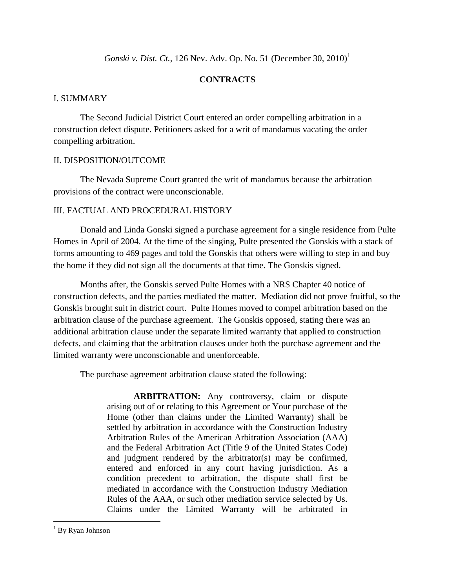*Gonski v. Dist. Ct.*, 126 Nev. Adv. Op. No. 51 (December 30, 2010) 1

# **CONTRACTS**

# I. SUMMARY

The Second Judicial District Court entered an order compelling arbitration in a construction defect dispute. Petitioners asked for a writ of mandamus vacating the order compelling arbitration.

# II. DISPOSITION/OUTCOME

The Nevada Supreme Court granted the writ of mandamus because the arbitration provisions of the contract were unconscionable.

# III. FACTUAL AND PROCEDURAL HISTORY

Donald and Linda Gonski signed a purchase agreement for a single residence from Pulte Homes in April of 2004. At the time of the singing, Pulte presented the Gonskis with a stack of forms amounting to 469 pages and told the Gonskis that others were willing to step in and buy the home if they did not sign all the documents at that time. The Gonskis signed.

Months after, the Gonskis served Pulte Homes with a NRS Chapter 40 notice of construction defects, and the parties mediated the matter. Mediation did not prove fruitful, so the Gonskis brought suit in district court. Pulte Homes moved to compel arbitration based on the arbitration clause of the purchase agreement. The Gonskis opposed, stating there was an additional arbitration clause under the separate limited warranty that applied to construction defects, and claiming that the arbitration clauses under both the purchase agreement and the limited warranty were unconscionable and unenforceable.

The purchase agreement arbitration clause stated the following:

**ARBITRATION:** Any controversy, claim or dispute arising out of or relating to this Agreement or Your purchase of the Home (other than claims under the Limited Warranty) shall be settled by arbitration in accordance with the Construction Industry Arbitration Rules of the American Arbitration Association (AAA) and the Federal Arbitration Act (Title 9 of the United States Code) and judgment rendered by the arbitrator(s) may be confirmed, entered and enforced in any court having jurisdiction. As a condition precedent to arbitration, the dispute shall first be mediated in accordance with the Construction Industry Mediation Rules of the AAA, or such other mediation service selected by Us. Claims under the Limited Warranty will be arbitrated in

 $\overline{a}$ 

 $1$  By Ryan Johnson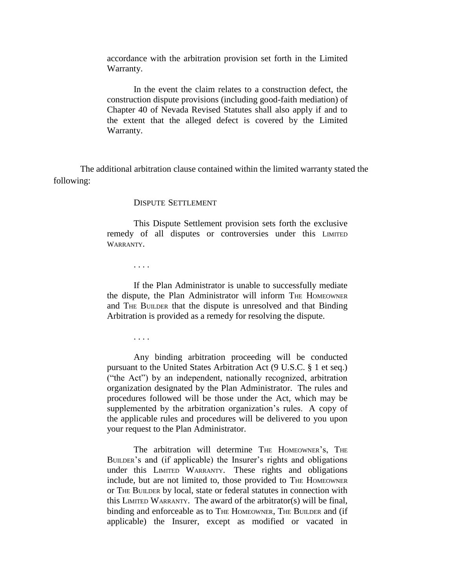accordance with the arbitration provision set forth in the Limited Warranty.

In the event the claim relates to a construction defect, the construction dispute provisions (including good-faith mediation) of Chapter 40 of Nevada Revised Statutes shall also apply if and to the extent that the alleged defect is covered by the Limited Warranty.

The additional arbitration clause contained within the limited warranty stated the following:

#### DISPUTE SETTLEMENT

This Dispute Settlement provision sets forth the exclusive remedy of all disputes or controversies under this LIMITED WARRANTY.

. . . .

If the Plan Administrator is unable to successfully mediate the dispute, the Plan Administrator will inform THE HOMEOWNER and THE BUILDER that the dispute is unresolved and that Binding Arbitration is provided as a remedy for resolving the dispute.

. . . .

Any binding arbitration proceeding will be conducted pursuant to the United States Arbitration Act (9 U.S.C. § 1 et seq.) ("the Act") by an independent, nationally recognized, arbitration organization designated by the Plan Administrator. The rules and procedures followed will be those under the Act, which may be supplemented by the arbitration organization's rules. A copy of the applicable rules and procedures will be delivered to you upon your request to the Plan Administrator.

The arbitration will determine THE HOMEOWNER'S, THE BUILDER's and (if applicable) the Insurer's rights and obligations under this LIMITED WARRANTY. These rights and obligations include, but are not limited to, those provided to THE HOMEOWNER or THE BUILDER by local, state or federal statutes in connection with this LIMITED WARRANTY. The award of the arbitrator(s) will be final, binding and enforceable as to THE HOMEOWNER, THE BUILDER and (if applicable) the Insurer, except as modified or vacated in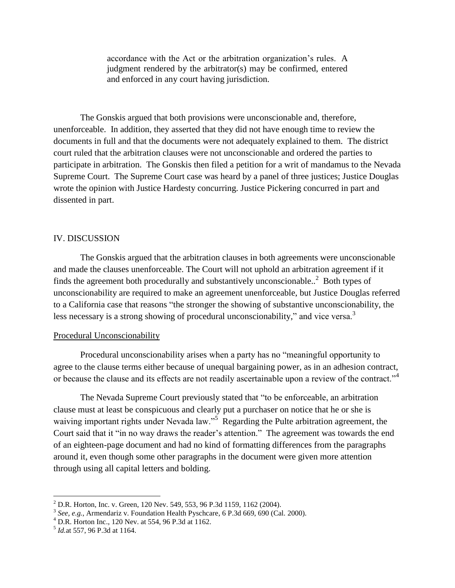accordance with the Act or the arbitration organization's rules. A judgment rendered by the arbitrator(s) may be confirmed, entered and enforced in any court having jurisdiction.

The Gonskis argued that both provisions were unconscionable and, therefore, unenforceable. In addition, they asserted that they did not have enough time to review the documents in full and that the documents were not adequately explained to them. The district court ruled that the arbitration clauses were not unconscionable and ordered the parties to participate in arbitration. The Gonskis then filed a petition for a writ of mandamus to the Nevada Supreme Court. The Supreme Court case was heard by a panel of three justices; Justice Douglas wrote the opinion with Justice Hardesty concurring. Justice Pickering concurred in part and dissented in part.

#### IV. DISCUSSION

The Gonskis argued that the arbitration clauses in both agreements were unconscionable and made the clauses unenforceable. The Court will not uphold an arbitration agreement if it finds the agreement both procedurally and substantively unconscionable.. <sup>2</sup> Both types of unconscionability are required to make an agreement unenforceable, but Justice Douglas referred to a California case that reasons "the stronger the showing of substantive unconscionability, the less necessary is a strong showing of procedural unconscionability," and vice versa.<sup>3</sup>

#### Procedural Unconscionability

Procedural unconscionability arises when a party has no "meaningful opportunity to agree to the clause terms either because of unequal bargaining power, as in an adhesion contract, or because the clause and its effects are not readily ascertainable upon a review of the contract."<sup>4</sup>

The Nevada Supreme Court previously stated that "to be enforceable, an arbitration clause must at least be conspicuous and clearly put a purchaser on notice that he or she is waiving important rights under Nevada law."<sup>5</sup> Regarding the Pulte arbitration agreement, the Court said that it "in no way draws the reader's attention." The agreement was towards the end of an eighteen-page document and had no kind of formatting differences from the paragraphs around it, even though some other paragraphs in the document were given more attention through using all capital letters and bolding.

 $\overline{a}$ 

<sup>2</sup> D.R. Horton, Inc. v. Green, 120 Nev. 549, 553, 96 P.3d 1159, 1162 (2004).

<sup>3</sup> *See, e.g.*, Armendariz v. Foundation Health Pyschcare, 6 P.3d 669, 690 (Cal. 2000).

 $4$  D.R. Horton Inc., 120 Nev. at 554, 96 P.3d at 1162.

<sup>5</sup> *Id.*at 557, 96 P.3d at 1164.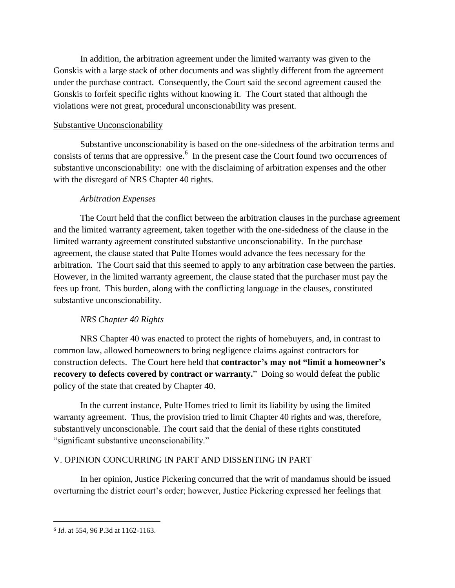In addition, the arbitration agreement under the limited warranty was given to the Gonskis with a large stack of other documents and was slightly different from the agreement under the purchase contract. Consequently, the Court said the second agreement caused the Gonskis to forfeit specific rights without knowing it. The Court stated that although the violations were not great, procedural unconscionability was present.

## Substantive Unconscionability

Substantive unconscionability is based on the one-sidedness of the arbitration terms and consists of terms that are oppressive.<sup>6</sup> In the present case the Court found two occurrences of substantive unconscionability: one with the disclaiming of arbitration expenses and the other with the disregard of NRS Chapter 40 rights.

## *Arbitration Expenses*

The Court held that the conflict between the arbitration clauses in the purchase agreement and the limited warranty agreement, taken together with the one-sidedness of the clause in the limited warranty agreement constituted substantive unconscionability. In the purchase agreement, the clause stated that Pulte Homes would advance the fees necessary for the arbitration. The Court said that this seemed to apply to any arbitration case between the parties. However, in the limited warranty agreement, the clause stated that the purchaser must pay the fees up front. This burden, along with the conflicting language in the clauses, constituted substantive unconscionability.

# *NRS Chapter 40 Rights*

NRS Chapter 40 was enacted to protect the rights of homebuyers, and, in contrast to common law, allowed homeowners to bring negligence claims against contractors for construction defects. The Court here held that **contractor's may not "limit a homeowner's recovery to defects covered by contract or warranty.**" Doing so would defeat the public policy of the state that created by Chapter 40.

In the current instance, Pulte Homes tried to limit its liability by using the limited warranty agreement. Thus, the provision tried to limit Chapter 40 rights and was, therefore, substantively unconscionable. The court said that the denial of these rights constituted "significant substantive unconscionability."

# V. OPINION CONCURRING IN PART AND DISSENTING IN PART

In her opinion, Justice Pickering concurred that the writ of mandamus should be issued overturning the district court's order; however, Justice Pickering expressed her feelings that

 $\overline{a}$ 

<sup>6</sup> *Id*. at 554, 96 P.3d at 1162-1163.